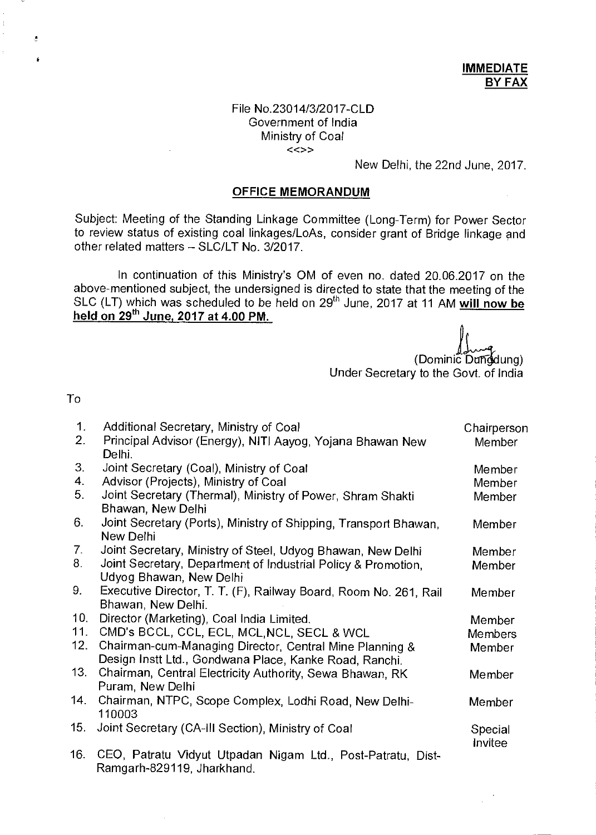## File No.23014/3/2017-CLD Government of India Ministry of Coal  $\lt\lt\gt$

New Delhi, the 22nd June, 2017.

## **OFFICE MEMORANDUM**

Subject: Meeting of the Standing Linkage Committee (Long-Term) for Power Sector to review status of existing coal linkages/LoAs, consider grant of Bridge linkage and other related matters — SLC/LT No. 3/2017.

In continuation of this Ministry's OM of even no. dated 20.06.2017 on the above-mentioned subject, the undersigned is directed to state that the meeting of the SLC (LT) which was scheduled to be held on 29<sup>th</sup> June, 2017 at 11 AM will now be held on 29<sup>th</sup> June, 2017 at 4.00 PM.

(Dominic Dungdung)

Under Secretary to the Govt. of India

To

Ĉ.

| 1.  | Additional Secretary, Ministry of Coal                                          | Chairperson |
|-----|---------------------------------------------------------------------------------|-------------|
| 2.  | Principal Advisor (Energy), NITI Aayog, Yojana Bhawan New                       | Member      |
| 3.  | Delhi.                                                                          |             |
| 4.  | Joint Secretary (Coal), Ministry of Coal                                        | Member      |
|     | Advisor (Projects), Ministry of Coal                                            | Member      |
| 5.  | Joint Secretary (Thermal), Ministry of Power, Shram Shakti<br>Bhawan, New Delhi | Member      |
| 6.  | Joint Secretary (Ports), Ministry of Shipping, Transport Bhawan,                | Member      |
|     | New Delhi                                                                       |             |
| 7.  | Joint Secretary, Ministry of Steel, Udyog Bhawan, New Delhi                     | Member      |
| 8.  | Joint Secretary, Department of Industrial Policy & Promotion,                   | Member      |
|     | Udyog Bhawan, New Delhi                                                         |             |
| 9.  | Executive Director, T. T. (F), Railway Board, Room No. 261, Rail                | Member      |
|     | Bhawan, New Delhi.                                                              |             |
| 10. | Director (Marketing), Coal India Limited.                                       | Member      |
| 11. | CMD's BCCL, CCL, ECL, MCL, NCL, SECL & WCL                                      | Members     |
| 12. | Chairman-cum-Managing Director, Central Mine Planning &                         | Member      |
|     | Design Instt Ltd., Gondwana Place, Kanke Road, Ranchi.                          |             |
| 13. | Chairman, Central Electricity Authority, Sewa Bhawan, RK                        | Member      |
|     | Puram, New Delhi                                                                |             |
| 14. | Chairman, NTPC, Scope Complex, Lodhi Road, New Delhi-                           | Member      |
|     | 110003                                                                          |             |
| 15. | Joint Secretary (CA-III Section), Ministry of Coal                              | Special     |
| 16. | CEO, Patratu Vidyut Utpadan Nigam Ltd., Post-Patratu, Dist-                     | Invitee     |
|     | Ramgarh-829119, Jharkhand.                                                      |             |